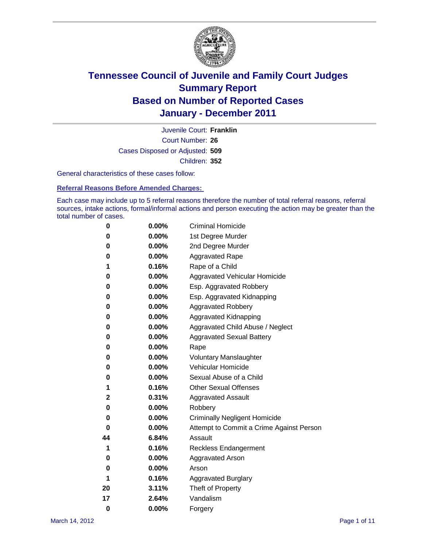

Court Number: **26** Juvenile Court: **Franklin** Cases Disposed or Adjusted: **509** Children: **352**

General characteristics of these cases follow:

**Referral Reasons Before Amended Charges:** 

Each case may include up to 5 referral reasons therefore the number of total referral reasons, referral sources, intake actions, formal/informal actions and person executing the action may be greater than the total number of cases.

| 0  | 0.00%    | <b>Criminal Homicide</b>                 |
|----|----------|------------------------------------------|
| 0  | 0.00%    | 1st Degree Murder                        |
| 0  | 0.00%    | 2nd Degree Murder                        |
| 0  | 0.00%    | <b>Aggravated Rape</b>                   |
| 1  | 0.16%    | Rape of a Child                          |
| 0  | 0.00%    | Aggravated Vehicular Homicide            |
| 0  | 0.00%    | Esp. Aggravated Robbery                  |
| 0  | 0.00%    | Esp. Aggravated Kidnapping               |
| 0  | 0.00%    | <b>Aggravated Robbery</b>                |
| 0  | 0.00%    | Aggravated Kidnapping                    |
| 0  | 0.00%    | Aggravated Child Abuse / Neglect         |
| 0  | $0.00\%$ | <b>Aggravated Sexual Battery</b>         |
| 0  | 0.00%    | Rape                                     |
| 0  | $0.00\%$ | <b>Voluntary Manslaughter</b>            |
| 0  | 0.00%    | Vehicular Homicide                       |
| 0  | 0.00%    | Sexual Abuse of a Child                  |
| 1  | 0.16%    | <b>Other Sexual Offenses</b>             |
| 2  | 0.31%    | <b>Aggravated Assault</b>                |
| 0  | $0.00\%$ | Robbery                                  |
| 0  | 0.00%    | <b>Criminally Negligent Homicide</b>     |
| 0  | 0.00%    | Attempt to Commit a Crime Against Person |
| 44 | 6.84%    | Assault                                  |
| 1  | 0.16%    | <b>Reckless Endangerment</b>             |
| 0  | 0.00%    | <b>Aggravated Arson</b>                  |
| 0  | 0.00%    | Arson                                    |
| 1  | 0.16%    | <b>Aggravated Burglary</b>               |
| 20 | 3.11%    | Theft of Property                        |
| 17 | 2.64%    | Vandalism                                |
| 0  | 0.00%    | Forgery                                  |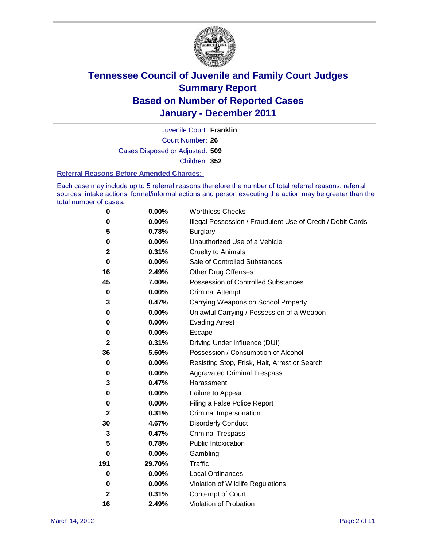

Court Number: **26** Juvenile Court: **Franklin** Cases Disposed or Adjusted: **509** Children: **352**

#### **Referral Reasons Before Amended Charges:**

Each case may include up to 5 referral reasons therefore the number of total referral reasons, referral sources, intake actions, formal/informal actions and person executing the action may be greater than the total number of cases.

| $\pmb{0}$    | 0.00%    | <b>Worthless Checks</b>                                     |
|--------------|----------|-------------------------------------------------------------|
| 0            | 0.00%    | Illegal Possession / Fraudulent Use of Credit / Debit Cards |
| 5            | 0.78%    | <b>Burglary</b>                                             |
| 0            | $0.00\%$ | Unauthorized Use of a Vehicle                               |
| 2            | 0.31%    | <b>Cruelty to Animals</b>                                   |
| $\bf{0}$     | $0.00\%$ | Sale of Controlled Substances                               |
| 16           | 2.49%    | <b>Other Drug Offenses</b>                                  |
| 45           | 7.00%    | Possession of Controlled Substances                         |
| $\mathbf 0$  | $0.00\%$ | <b>Criminal Attempt</b>                                     |
| 3            | 0.47%    | Carrying Weapons on School Property                         |
| 0            | $0.00\%$ | Unlawful Carrying / Possession of a Weapon                  |
| 0            | $0.00\%$ | <b>Evading Arrest</b>                                       |
| 0            | 0.00%    | Escape                                                      |
| 2            | 0.31%    | Driving Under Influence (DUI)                               |
| 36           | 5.60%    | Possession / Consumption of Alcohol                         |
| 0            | 0.00%    | Resisting Stop, Frisk, Halt, Arrest or Search               |
| 0            | $0.00\%$ | <b>Aggravated Criminal Trespass</b>                         |
| 3            | 0.47%    | Harassment                                                  |
| 0            | 0.00%    | Failure to Appear                                           |
| 0            | $0.00\%$ | Filing a False Police Report                                |
| $\mathbf{2}$ | 0.31%    | Criminal Impersonation                                      |
| 30           | 4.67%    | <b>Disorderly Conduct</b>                                   |
| 3            | 0.47%    | <b>Criminal Trespass</b>                                    |
| 5            | 0.78%    | Public Intoxication                                         |
| 0            | $0.00\%$ | Gambling                                                    |
| 191          | 29.70%   | <b>Traffic</b>                                              |
| 0            | $0.00\%$ | Local Ordinances                                            |
| 0            | 0.00%    | Violation of Wildlife Regulations                           |
| $\mathbf{2}$ | 0.31%    | Contempt of Court                                           |
| 16           | 2.49%    | Violation of Probation                                      |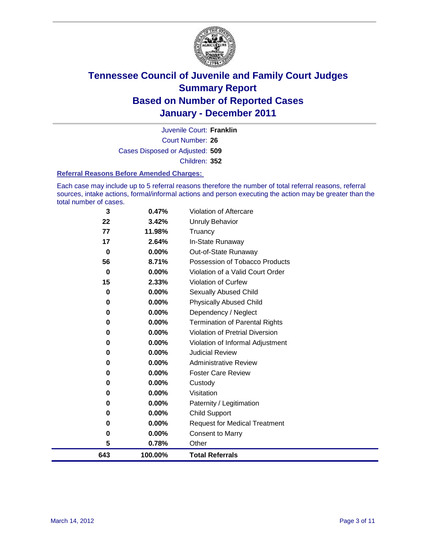

Court Number: **26** Juvenile Court: **Franklin** Cases Disposed or Adjusted: **509** Children: **352**

### **Referral Reasons Before Amended Charges:**

Each case may include up to 5 referral reasons therefore the number of total referral reasons, referral sources, intake actions, formal/informal actions and person executing the action may be greater than the total number of cases.

| 100.00%  | <b>Total Referrals</b>                                                            |
|----------|-----------------------------------------------------------------------------------|
| 0.78%    | Other                                                                             |
| 0.00%    | <b>Consent to Marry</b>                                                           |
| 0.00%    | <b>Request for Medical Treatment</b>                                              |
| 0.00%    | <b>Child Support</b>                                                              |
| 0.00%    | Paternity / Legitimation                                                          |
| 0.00%    | Visitation                                                                        |
| 0.00%    | Custody                                                                           |
| $0.00\%$ | <b>Foster Care Review</b>                                                         |
| 0.00%    | <b>Administrative Review</b>                                                      |
| 0.00%    | <b>Judicial Review</b>                                                            |
| 0.00%    | Violation of Informal Adjustment                                                  |
| 0.00%    | <b>Violation of Pretrial Diversion</b>                                            |
| 0.00%    | <b>Termination of Parental Rights</b>                                             |
| 0.00%    | Dependency / Neglect                                                              |
|          | <b>Physically Abused Child</b>                                                    |
|          | Sexually Abused Child                                                             |
|          | <b>Violation of Curfew</b>                                                        |
|          | Violation of a Valid Court Order                                                  |
|          | Possession of Tobacco Products                                                    |
|          | Out-of-State Runaway                                                              |
|          | Truancy<br>In-State Runaway                                                       |
|          | Unruly Behavior                                                                   |
|          |                                                                                   |
|          | 3.42%<br>11.98%<br>2.64%<br>$0.00\%$<br>8.71%<br>0.00%<br>2.33%<br>0.00%<br>0.00% |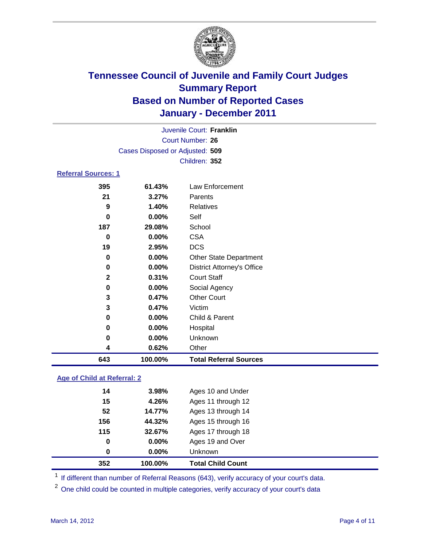

| Juvenile Court: Franklin   |                                 |                                   |  |  |  |
|----------------------------|---------------------------------|-----------------------------------|--|--|--|
|                            | <b>Court Number: 26</b>         |                                   |  |  |  |
|                            | Cases Disposed or Adjusted: 509 |                                   |  |  |  |
|                            |                                 | Children: 352                     |  |  |  |
| <b>Referral Sources: 1</b> |                                 |                                   |  |  |  |
| 395                        | 61.43%                          | Law Enforcement                   |  |  |  |
| 21                         | 3.27%                           | Parents                           |  |  |  |
| 9                          | 1.40%                           | <b>Relatives</b>                  |  |  |  |
| 0                          | 0.00%                           | Self                              |  |  |  |
| 187                        | 29.08%                          | School                            |  |  |  |
| $\bf{0}$                   | $0.00\%$                        | <b>CSA</b>                        |  |  |  |
| 19                         | 2.95%                           | <b>DCS</b>                        |  |  |  |
| $\bf{0}$                   | $0.00\%$                        | <b>Other State Department</b>     |  |  |  |
| $\bf{0}$                   | 0.00%                           | <b>District Attorney's Office</b> |  |  |  |
| $\mathbf{2}$               | 0.31%                           | <b>Court Staff</b>                |  |  |  |
| $\bf{0}$                   | 0.00%                           | Social Agency                     |  |  |  |
| 3                          | 0.47%                           | <b>Other Court</b>                |  |  |  |
| 3                          | 0.47%                           | Victim                            |  |  |  |
| 0                          | 0.00%                           | Child & Parent                    |  |  |  |
| 0                          | 0.00%                           | Hospital                          |  |  |  |
| 0                          | 0.00%                           | Unknown                           |  |  |  |
| 4                          | 0.62%                           | Other                             |  |  |  |
| 643                        | 100.00%                         | <b>Total Referral Sources</b>     |  |  |  |

### **Age of Child at Referral: 2**

| 0   | $0.00\%$ | <b>Unknown</b>     |
|-----|----------|--------------------|
| 0   | 0.00%    | Ages 19 and Over   |
| 115 | 32.67%   | Ages 17 through 18 |
| 156 | 44.32%   | Ages 15 through 16 |
| 52  | 14.77%   | Ages 13 through 14 |
| 15  | 4.26%    | Ages 11 through 12 |
| 14  | 3.98%    | Ages 10 and Under  |
|     |          |                    |

<sup>1</sup> If different than number of Referral Reasons (643), verify accuracy of your court's data.

<sup>2</sup> One child could be counted in multiple categories, verify accuracy of your court's data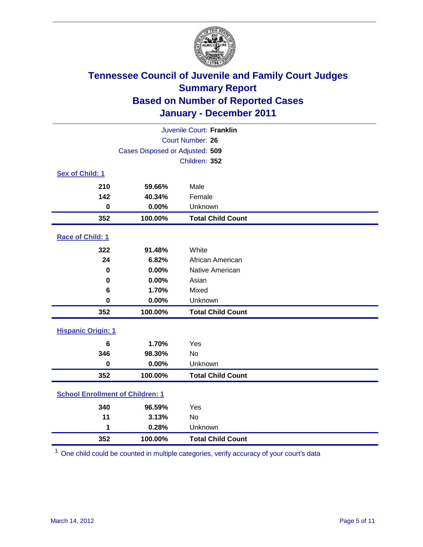

| Juvenile Court: Franklin                |                                 |                          |  |  |
|-----------------------------------------|---------------------------------|--------------------------|--|--|
|                                         | <b>Court Number: 26</b>         |                          |  |  |
|                                         | Cases Disposed or Adjusted: 509 |                          |  |  |
|                                         |                                 | Children: 352            |  |  |
| Sex of Child: 1                         |                                 |                          |  |  |
| 210                                     | 59.66%                          | Male                     |  |  |
| 142                                     | 40.34%                          | Female                   |  |  |
| $\mathbf 0$                             | 0.00%                           | Unknown                  |  |  |
| 352                                     | 100.00%                         | <b>Total Child Count</b> |  |  |
| Race of Child: 1                        |                                 |                          |  |  |
| 322                                     | 91.48%                          | White                    |  |  |
| 24                                      | 6.82%                           | African American         |  |  |
| $\mathbf 0$                             | 0.00%                           | Native American          |  |  |
| 0                                       | 0.00%                           | Asian                    |  |  |
| 6                                       | 1.70%                           | Mixed                    |  |  |
| $\mathbf 0$                             | 0.00%                           | Unknown                  |  |  |
| 352                                     | 100.00%                         | <b>Total Child Count</b> |  |  |
| <b>Hispanic Origin: 1</b>               |                                 |                          |  |  |
| 6                                       | 1.70%                           | Yes                      |  |  |
| 346                                     | 98.30%                          | No                       |  |  |
| $\mathbf 0$                             | 0.00%                           | Unknown                  |  |  |
| 352                                     | 100.00%                         | <b>Total Child Count</b> |  |  |
| <b>School Enrollment of Children: 1</b> |                                 |                          |  |  |
|                                         |                                 |                          |  |  |
| 340                                     | 96.59%                          | Yes                      |  |  |
| 11                                      | 3.13%                           | <b>No</b>                |  |  |
| 1                                       | 0.28%                           | Unknown                  |  |  |
| 352                                     | 100.00%                         | <b>Total Child Count</b> |  |  |

One child could be counted in multiple categories, verify accuracy of your court's data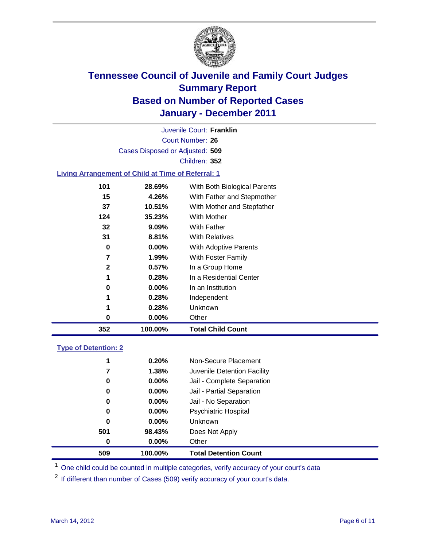

Court Number: **26** Juvenile Court: **Franklin** Cases Disposed or Adjusted: **509** Children: **352**

### **Living Arrangement of Child at Time of Referral: 1**

| 352          | 100.00%  | <b>Total Child Count</b>     |
|--------------|----------|------------------------------|
| 0            | $0.00\%$ | Other                        |
| 1            | 0.28%    | Unknown                      |
| 1            | 0.28%    | Independent                  |
| 0            | $0.00\%$ | In an Institution            |
| 1            | 0.28%    | In a Residential Center      |
| $\mathbf{2}$ | 0.57%    | In a Group Home              |
| 7            | 1.99%    | With Foster Family           |
| 0            | $0.00\%$ | With Adoptive Parents        |
| 31           | 8.81%    | <b>With Relatives</b>        |
| 32           | 9.09%    | <b>With Father</b>           |
| 124          | 35.23%   | With Mother                  |
| 37           | 10.51%   | With Mother and Stepfather   |
| 15           | 4.26%    | With Father and Stepmother   |
| 101          | 28.69%   | With Both Biological Parents |
|              |          |                              |

### **Type of Detention: 2**

| 509      | 100.00%  | <b>Total Detention Count</b> |  |
|----------|----------|------------------------------|--|
| 0        | $0.00\%$ | Other                        |  |
| 501      | 98.43%   | Does Not Apply               |  |
| 0        | $0.00\%$ | Unknown                      |  |
| 0        | 0.00%    | <b>Psychiatric Hospital</b>  |  |
| $\bf{0}$ | 0.00%    | Jail - No Separation         |  |
| 0        | $0.00\%$ | Jail - Partial Separation    |  |
| 0        | $0.00\%$ | Jail - Complete Separation   |  |
| 7        | 1.38%    | Juvenile Detention Facility  |  |
| 1        | 0.20%    | Non-Secure Placement         |  |
|          |          |                              |  |

<sup>1</sup> One child could be counted in multiple categories, verify accuracy of your court's data

<sup>2</sup> If different than number of Cases (509) verify accuracy of your court's data.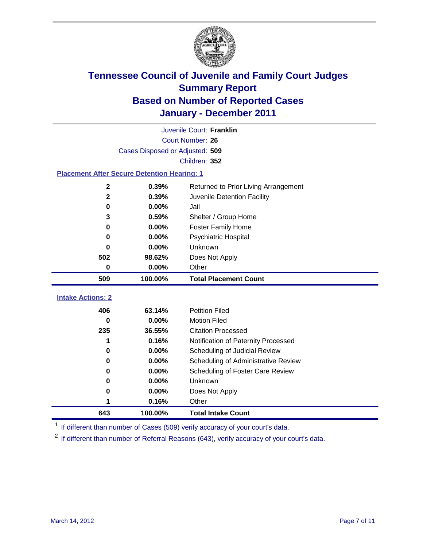

|                                                    | Juvenile Court: Franklin        |                                      |  |  |  |  |
|----------------------------------------------------|---------------------------------|--------------------------------------|--|--|--|--|
|                                                    | Court Number: 26                |                                      |  |  |  |  |
|                                                    | Cases Disposed or Adjusted: 509 |                                      |  |  |  |  |
|                                                    | Children: 352                   |                                      |  |  |  |  |
| <b>Placement After Secure Detention Hearing: 1</b> |                                 |                                      |  |  |  |  |
| 2                                                  | 0.39%                           | Returned to Prior Living Arrangement |  |  |  |  |
| $\mathbf 2$                                        | 0.39%                           | Juvenile Detention Facility          |  |  |  |  |
| 0                                                  | 0.00%                           | Jail                                 |  |  |  |  |
| 3                                                  | 0.59%                           | Shelter / Group Home                 |  |  |  |  |
| 0                                                  | 0.00%                           | <b>Foster Family Home</b>            |  |  |  |  |
| 0                                                  | 0.00%                           | Psychiatric Hospital                 |  |  |  |  |
| 0                                                  | 0.00%                           | Unknown                              |  |  |  |  |
| 502                                                | 98.62%                          | Does Not Apply                       |  |  |  |  |
| 0                                                  | 0.00%                           | Other                                |  |  |  |  |
| 509                                                | 100.00%                         | <b>Total Placement Count</b>         |  |  |  |  |
|                                                    |                                 |                                      |  |  |  |  |
| <b>Intake Actions: 2</b>                           |                                 |                                      |  |  |  |  |
| 406                                                | 63.14%                          | <b>Petition Filed</b>                |  |  |  |  |
| 0                                                  | 0.00%                           | <b>Motion Filed</b>                  |  |  |  |  |
| 235                                                | 36.55%                          | <b>Citation Processed</b>            |  |  |  |  |
| 1                                                  | 0.16%                           | Notification of Paternity Processed  |  |  |  |  |
| 0                                                  | 0.00%                           | Scheduling of Judicial Review        |  |  |  |  |
| 0                                                  | 0.00%                           | Scheduling of Administrative Review  |  |  |  |  |
| 0                                                  | $0.00\%$                        | Scheduling of Foster Care Review     |  |  |  |  |
| 0                                                  | 0.00%                           | Unknown                              |  |  |  |  |
| 0                                                  | 0.00%                           | Does Not Apply                       |  |  |  |  |
|                                                    | 0.16%                           | Other                                |  |  |  |  |
| 643                                                | 100.00%                         | <b>Total Intake Count</b>            |  |  |  |  |

<sup>1</sup> If different than number of Cases (509) verify accuracy of your court's data.

<sup>2</sup> If different than number of Referral Reasons (643), verify accuracy of your court's data.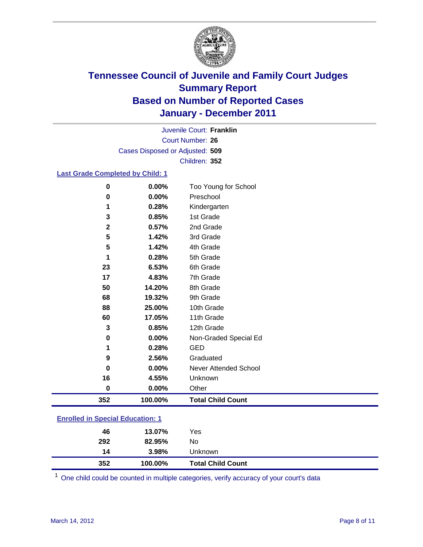

Court Number: **26** Juvenile Court: **Franklin** Cases Disposed or Adjusted: **509** Children: **352**

### **Last Grade Completed by Child: 1**

| 0                                       | 0.00%   | Too Young for School         |  |
|-----------------------------------------|---------|------------------------------|--|
| 0                                       | 0.00%   | Preschool                    |  |
| 1                                       | 0.28%   | Kindergarten                 |  |
| 3                                       | 0.85%   | 1st Grade                    |  |
| $\mathbf{2}$                            | 0.57%   | 2nd Grade                    |  |
| 5                                       | 1.42%   | 3rd Grade                    |  |
| 5                                       | 1.42%   | 4th Grade                    |  |
| 1                                       | 0.28%   | 5th Grade                    |  |
| 23                                      | 6.53%   | 6th Grade                    |  |
| 17                                      | 4.83%   | 7th Grade                    |  |
| 50                                      | 14.20%  | 8th Grade                    |  |
| 68                                      | 19.32%  | 9th Grade                    |  |
| 88                                      | 25.00%  | 10th Grade                   |  |
| 60                                      | 17.05%  | 11th Grade                   |  |
| 3                                       | 0.85%   | 12th Grade                   |  |
| 0                                       | 0.00%   | Non-Graded Special Ed        |  |
| 1                                       | 0.28%   | <b>GED</b>                   |  |
| 9                                       | 2.56%   | Graduated                    |  |
| 0                                       | 0.00%   | <b>Never Attended School</b> |  |
| 16                                      | 4.55%   | Unknown                      |  |
| 0                                       | 0.00%   | Other                        |  |
| 352                                     | 100.00% | <b>Total Child Count</b>     |  |
|                                         |         |                              |  |
| <b>Enrolled in Special Education: 1</b> |         |                              |  |

|     |        | <b>Total Child Count</b> |
|-----|--------|--------------------------|
| 14  | 3.98%  | Unknown                  |
| 292 | 82.95% | No.                      |
| 46  | 13.07% | Yes                      |
|     |        | 352<br>100.00%           |

One child could be counted in multiple categories, verify accuracy of your court's data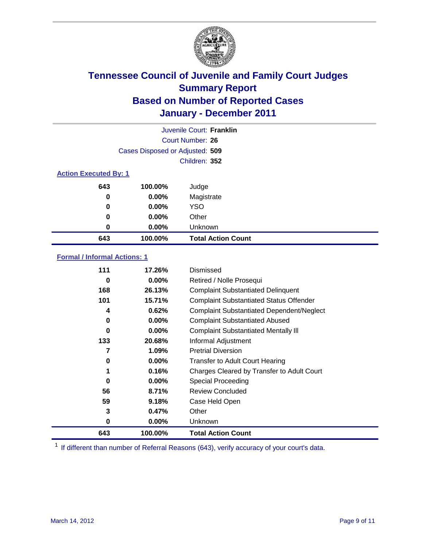

|                              | Juvenile Court: Franklin        |                           |  |  |  |
|------------------------------|---------------------------------|---------------------------|--|--|--|
|                              | Court Number: 26                |                           |  |  |  |
|                              | Cases Disposed or Adjusted: 509 |                           |  |  |  |
|                              | Children: 352                   |                           |  |  |  |
| <b>Action Executed By: 1</b> |                                 |                           |  |  |  |
| 643                          | 100.00%                         | Judge                     |  |  |  |
| 0                            | $0.00\%$                        | Magistrate                |  |  |  |
| 0                            | $0.00\%$                        | <b>YSO</b>                |  |  |  |
| 0                            | $0.00\%$                        | Other                     |  |  |  |
| 0                            | 0.00%                           | Unknown                   |  |  |  |
| 643                          | 100.00%                         | <b>Total Action Count</b> |  |  |  |

### **Formal / Informal Actions: 1**

| 111 | 17.26%   | <b>Dismissed</b>                                 |
|-----|----------|--------------------------------------------------|
| 0   | $0.00\%$ | Retired / Nolle Prosequi                         |
| 168 | 26.13%   | <b>Complaint Substantiated Delinquent</b>        |
| 101 | 15.71%   | <b>Complaint Substantiated Status Offender</b>   |
| 4   | 0.62%    | <b>Complaint Substantiated Dependent/Neglect</b> |
| 0   | $0.00\%$ | <b>Complaint Substantiated Abused</b>            |
| 0   | $0.00\%$ | <b>Complaint Substantiated Mentally III</b>      |
| 133 | 20.68%   | Informal Adjustment                              |
| 7   | 1.09%    | <b>Pretrial Diversion</b>                        |
| 0   | $0.00\%$ | <b>Transfer to Adult Court Hearing</b>           |
| 1   | 0.16%    | Charges Cleared by Transfer to Adult Court       |
| 0   | $0.00\%$ | Special Proceeding                               |
| 56  | 8.71%    | <b>Review Concluded</b>                          |
| 59  | 9.18%    | Case Held Open                                   |
| 3   | 0.47%    | Other                                            |
| 0   | $0.00\%$ | Unknown                                          |
| 643 | 100.00%  | <b>Total Action Count</b>                        |

<sup>1</sup> If different than number of Referral Reasons (643), verify accuracy of your court's data.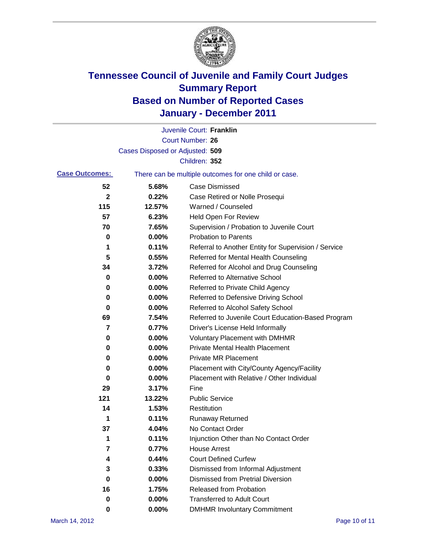

|                       |                                 | Juvenile Court: Franklin                              |
|-----------------------|---------------------------------|-------------------------------------------------------|
|                       |                                 | <b>Court Number: 26</b>                               |
|                       | Cases Disposed or Adjusted: 509 |                                                       |
|                       |                                 | Children: 352                                         |
| <b>Case Outcomes:</b> |                                 | There can be multiple outcomes for one child or case. |
| 52                    | 5.68%                           | <b>Case Dismissed</b>                                 |
| $\mathbf 2$           | 0.22%                           | Case Retired or Nolle Prosequi                        |
| 115                   | 12.57%                          | Warned / Counseled                                    |
| 57                    | 6.23%                           | <b>Held Open For Review</b>                           |
| 70                    | 7.65%                           | Supervision / Probation to Juvenile Court             |
| 0                     | 0.00%                           | <b>Probation to Parents</b>                           |
| 1                     | 0.11%                           | Referral to Another Entity for Supervision / Service  |
| 5                     | 0.55%                           | Referred for Mental Health Counseling                 |
| 34                    | 3.72%                           | Referred for Alcohol and Drug Counseling              |
| 0                     | 0.00%                           | <b>Referred to Alternative School</b>                 |
| 0                     | 0.00%                           | Referred to Private Child Agency                      |
| 0                     | 0.00%                           | Referred to Defensive Driving School                  |
| 0                     | 0.00%                           | Referred to Alcohol Safety School                     |
| 69                    | 7.54%                           | Referred to Juvenile Court Education-Based Program    |
| 7                     | 0.77%                           | Driver's License Held Informally                      |
| 0                     | 0.00%                           | <b>Voluntary Placement with DMHMR</b>                 |
| 0                     | 0.00%                           | <b>Private Mental Health Placement</b>                |
| 0                     | 0.00%                           | <b>Private MR Placement</b>                           |
| 0                     | 0.00%                           | Placement with City/County Agency/Facility            |
| 0                     | 0.00%                           | Placement with Relative / Other Individual            |
| 29                    | 3.17%                           | Fine                                                  |
| 121                   | 13.22%                          | <b>Public Service</b>                                 |
| 14                    | 1.53%                           | Restitution                                           |
| 1                     | 0.11%                           | <b>Runaway Returned</b>                               |
| 37                    | 4.04%                           | No Contact Order                                      |
| 1                     | 0.11%                           | Injunction Other than No Contact Order                |
| 7                     | 0.77%                           | <b>House Arrest</b>                                   |
| 4                     | 0.44%                           | <b>Court Defined Curfew</b>                           |
| 3                     | 0.33%                           | Dismissed from Informal Adjustment                    |
| 0                     | 0.00%                           | <b>Dismissed from Pretrial Diversion</b>              |
| 16                    | 1.75%                           | Released from Probation                               |
| 0                     | 0.00%                           | <b>Transferred to Adult Court</b>                     |
| 0                     | $0.00\%$                        | <b>DMHMR Involuntary Commitment</b>                   |